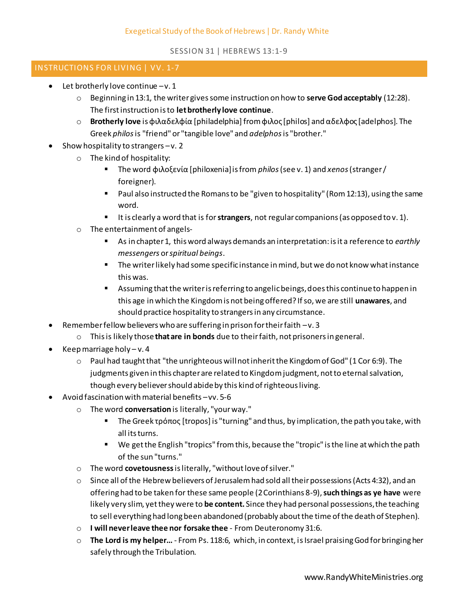SESSION 31 | HEBREWS 13:1-9

## INSTRUCTIONS FOR LIVING | VV. 1-7

- $\bullet$  Let brotherly love continue  $-v.1$ 
	- o Beginning in 13:1, the writer gives some instruction on how to **serve God acceptably** (12:28). The first instruction is to **let brotherly love continue**.
	- o **Brotherly love** is φιλαδελφία [philadelphia] from φιλος [philos] and αδελφος [adelphos]. The Greek *philos*is "friend" or "tangible love" and *adelphos*is "brother."
- Show hospitality to strangers –v. 2
	- o The kind of hospitality:
		- The word φιλοξενία [philoxenia] is from *philos*(see v. 1) and *xenos*(stranger / foreigner).
		- Paul also instructed the Romans to be "given to hospitality" (Rom 12:13), using the same word.
		- It is clearly a word that is for **strangers**, not regular companions (as opposed to v. 1).
	- o The entertainment of angels-
		- As in chapter 1, this word always demands an interpretation: is it a reference to *earthly messengers* or *spiritual beings*.
		- **The writer likely had some specific instance in mind, but we do not know what instance** this was.
		- Assuming that the writer is referring to angelic beings, does this continue to happen in this age in which the Kingdom is not being offered? If so, we are still **unawares**, and should practice hospitality to strangers in any circumstance.
- Remember fellow believers who are suffering in prison for their faith –v. 3
	- o This is likely those **that are in bonds** due to their faith, not prisoners in general.
- Keep marriage holy  $-v.4$ 
	- o Paul had taught that "the unrighteous will not inherit the Kingdom of God" (1 Cor 6:9). The judgments given in this chapter are related to Kingdom judgment, not to eternal salvation, though every believer should abide by this kind of righteous living.
- Avoid fascination with material benefits –vv. 5-6
	- o The word **conversation** is literally, "your way."
		- The Greek τρόπος [tropos] is "turning" and thus, by implication, the path you take, with all its turns.
		- We get the English "tropics" from this, because the "tropic" is the line at which the path of the sun "turns."
	- o The word **covetousness** is literally, "without love of silver."
	- $\circ$  Since all of the Hebrew believers of Jerusalem had sold all their possessions (Acts 4:32), and an offering had to be taken for these same people (2 Corinthians 8-9), **such things as ye have** were likely very slim, yet they were to **be content.** Since they had personal possessions, the teaching to sell everything had long been abandoned (probably about the time of the death of Stephen).
	- o **I will never leave thee nor forsake thee** From Deuteronomy 31:6.
	- o **The Lord is my helper…** From Ps. 118:6, which, in context, is Israel praising God for bringing her safely through the Tribulation.